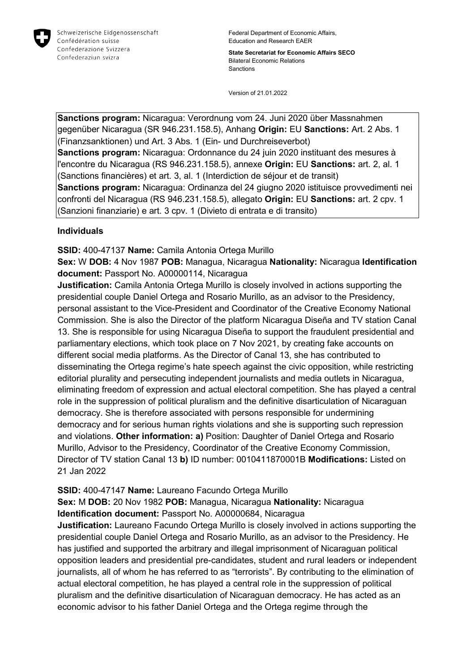

Federal Department of Economic Affairs, Education and Research EAER

**State Secretariat for Economic Affairs SECO** Bilateral Economic Relations Sanctions

Version of 21.01.2022

**Sanctions program:** Nicaragua: Verordnung vom 24. Juni 2020 über Massnahmen gegenüber Nicaragua (SR 946.231.158.5), Anhang **Origin:** EU **Sanctions:** Art. 2 Abs. 1 (Finanzsanktionen) und Art. 3 Abs. 1 (Ein- und Durchreiseverbot) **Sanctions program:** Nicaragua: Ordonnance du 24 juin 2020 instituant des mesures à l'encontre du Nicaragua (RS 946.231.158.5), annexe **Origin:** EU **Sanctions:** art. 2, al. 1 (Sanctions financières) et art. 3, al. 1 (Interdiction de séjour et de transit) **Sanctions program:** Nicaragua: Ordinanza del 24 giugno 2020 istituisce provvedimenti nei confronti del Nicaragua (RS 946.231.158.5), allegato **Origin:** EU **Sanctions:** art. 2 cpv. 1 (Sanzioni finanziarie) e art. 3 cpv. 1 (Divieto di entrata e di transito)

# **Individuals**

**SSID:** 400-47137 **Name:** Camila Antonia Ortega Murillo

**Sex:** W **DOB:** 4 Nov 1987 **POB:** Managua, Nicaragua **Nationality:** Nicaragua **Identification document:** Passport No. A00000114, Nicaragua

**Justification:** Camila Antonia Ortega Murillo is closely involved in actions supporting the presidential couple Daniel Ortega and Rosario Murillo, as an advisor to the Presidency, personal assistant to the Vice-President and Coordinator of the Creative Economy National Commission. She is also the Director of the platform Nicaragua Diseña and TV station Canal 13. She is responsible for using Nicaragua Diseña to support the fraudulent presidential and parliamentary elections, which took place on 7 Nov 2021, by creating fake accounts on different social media platforms. As the Director of Canal 13, she has contributed to disseminating the Ortega regime's hate speech against the civic opposition, while restricting editorial plurality and persecuting independent journalists and media outlets in Nicaragua, eliminating freedom of expression and actual electoral competition. She has played a central role in the suppression of political pluralism and the definitive disarticulation of Nicaraguan democracy. She is therefore associated with persons responsible for undermining democracy and for serious human rights violations and she is supporting such repression and violations. **Other information: a)** Position: Daughter of Daniel Ortega and Rosario Murillo, Advisor to the Presidency, Coordinator of the Creative Economy Commission, Director of TV station Canal 13 **b)** ID number: 0010411870001B **Modifications:** Listed on 21 Jan 2022

# **SSID:** 400-47147 **Name:** Laureano Facundo Ortega Murillo

**Sex:** M **DOB:** 20 Nov 1982 **POB:** Managua, Nicaragua **Nationality:** Nicaragua **Identification document:** Passport No. A00000684, Nicaragua

**Justification:** Laureano Facundo Ortega Murillo is closely involved in actions supporting the presidential couple Daniel Ortega and Rosario Murillo, as an advisor to the Presidency. He has justified and supported the arbitrary and illegal imprisonment of Nicaraguan political opposition leaders and presidential pre-candidates, student and rural leaders or independent journalists, all of whom he has referred to as "terrorists". By contributing to the elimination of actual electoral competition, he has played a central role in the suppression of political pluralism and the definitive disarticulation of Nicaraguan democracy. He has acted as an economic advisor to his father Daniel Ortega and the Ortega regime through the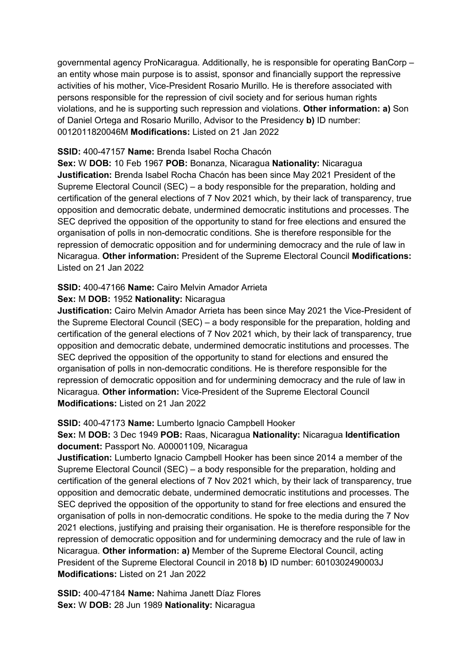governmental agency ProNicaragua. Additionally, he is responsible for operating BanCorp – an entity whose main purpose is to assist, sponsor and financially support the repressive activities of his mother, Vice-President Rosario Murillo. He is therefore associated with persons responsible for the repression of civil society and for serious human rights violations, and he is supporting such repression and violations. **Other information: a)** Son of Daniel Ortega and Rosario Murillo, Advisor to the Presidency **b)** ID number: 0012011820046M **Modifications:** Listed on 21 Jan 2022

# **SSID:** 400-47157 **Name:** Brenda Isabel Rocha Chacón

**Sex:** W **DOB:** 10 Feb 1967 **POB:** Bonanza, Nicaragua **Nationality:** Nicaragua **Justification:** Brenda Isabel Rocha Chacón has been since May 2021 President of the Supreme Electoral Council (SEC) – a body responsible for the preparation, holding and certification of the general elections of 7 Nov 2021 which, by their lack of transparency, true opposition and democratic debate, undermined democratic institutions and processes. The SEC deprived the opposition of the opportunity to stand for free elections and ensured the organisation of polls in non-democratic conditions. She is therefore responsible for the repression of democratic opposition and for undermining democracy and the rule of law in Nicaragua. **Other information:** President of the Supreme Electoral Council **Modifications:**  Listed on 21 Jan 2022

# **SSID:** 400-47166 **Name:** Cairo Melvin Amador Arrieta

# **Sex:** M **DOB:** 1952 **Nationality:** Nicaragua

**Justification:** Cairo Melvin Amador Arrieta has been since May 2021 the Vice-President of the Supreme Electoral Council (SEC) – a body responsible for the preparation, holding and certification of the general elections of 7 Nov 2021 which, by their lack of transparency, true opposition and democratic debate, undermined democratic institutions and processes. The SEC deprived the opposition of the opportunity to stand for elections and ensured the organisation of polls in non-democratic conditions. He is therefore responsible for the repression of democratic opposition and for undermining democracy and the rule of law in Nicaragua. **Other information:** Vice-President of the Supreme Electoral Council **Modifications:** Listed on 21 Jan 2022

# **SSID:** 400-47173 **Name:** Lumberto Ignacio Campbell Hooker

# **Sex:** M **DOB:** 3 Dec 1949 **POB:** Raas, Nicaragua **Nationality:** Nicaragua **Identification document:** Passport No. A00001109, Nicaragua

**Justification:** Lumberto Ignacio Campbell Hooker has been since 2014 a member of the Supreme Electoral Council (SEC) – a body responsible for the preparation, holding and certification of the general elections of 7 Nov 2021 which, by their lack of transparency, true opposition and democratic debate, undermined democratic institutions and processes. The SEC deprived the opposition of the opportunity to stand for free elections and ensured the organisation of polls in non-democratic conditions. He spoke to the media during the 7 Nov 2021 elections, justifying and praising their organisation. He is therefore responsible for the repression of democratic opposition and for undermining democracy and the rule of law in Nicaragua. **Other information: a)** Member of the Supreme Electoral Council, acting President of the Supreme Electoral Council in 2018 **b)** ID number: 6010302490003J **Modifications:** Listed on 21 Jan 2022

**SSID:** 400-47184 **Name:** Nahima Janett Díaz Flores **Sex:** W **DOB:** 28 Jun 1989 **Nationality:** Nicaragua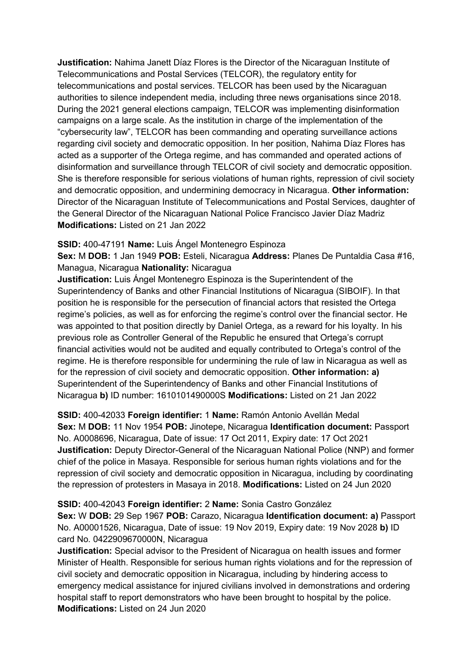**Justification:** Nahima Janett Díaz Flores is the Director of the Nicaraguan Institute of Telecommunications and Postal Services (TELCOR), the regulatory entity for telecommunications and postal services. TELCOR has been used by the Nicaraguan authorities to silence independent media, including three news organisations since 2018. During the 2021 general elections campaign, TELCOR was implementing disinformation campaigns on a large scale. As the institution in charge of the implementation of the "cybersecurity law", TELCOR has been commanding and operating surveillance actions regarding civil society and democratic opposition. In her position, Nahima Díaz Flores has acted as a supporter of the Ortega regime, and has commanded and operated actions of disinformation and surveillance through TELCOR of civil society and democratic opposition. She is therefore responsible for serious violations of human rights, repression of civil society and democratic opposition, and undermining democracy in Nicaragua. **Other information:** Director of the Nicaraguan Institute of Telecommunications and Postal Services, daughter of the General Director of the Nicaraguan National Police Francisco Javier Díaz Madriz **Modifications:** Listed on 21 Jan 2022

# **SSID:** 400-47191 **Name:** Luis Ángel Montenegro Espinoza

**Sex:** M **DOB:** 1 Jan 1949 **POB:** Esteli, Nicaragua **Address:** Planes De Puntaldia Casa #16, Managua, Nicaragua **Nationality:** Nicaragua

**Justification:** Luis Ángel Montenegro Espinoza is the Superintendent of the Superintendency of Banks and other Financial Institutions of Nicaragua (SIBOIF). In that position he is responsible for the persecution of financial actors that resisted the Ortega regime's policies, as well as for enforcing the regime's control over the financial sector. He was appointed to that position directly by Daniel Ortega, as a reward for his loyalty. In his previous role as Controller General of the Republic he ensured that Ortega's corrupt financial activities would not be audited and equally contributed to Ortega's control of the regime. He is therefore responsible for undermining the rule of law in Nicaragua as well as for the repression of civil society and democratic opposition. **Other information: a)**  Superintendent of the Superintendency of Banks and other Financial Institutions of Nicaragua **b)** ID number: 1610101490000S **Modifications:** Listed on 21 Jan 2022

**SSID:** 400-42033 **Foreign identifier:** 1 **Name:** Ramón Antonio Avellán Medal **Sex:** M **DOB:** 11 Nov 1954 **POB:** Jinotepe, Nicaragua **Identification document:** Passport No. A0008696, Nicaragua, Date of issue: 17 Oct 2011, Expiry date: 17 Oct 2021 **Justification:** Deputy Director-General of the Nicaraguan National Police (NNP) and former chief of the police in Masaya. Responsible for serious human rights violations and for the repression of civil society and democratic opposition in Nicaragua, including by coordinating the repression of protesters in Masaya in 2018. **Modifications:** Listed on 24 Jun 2020

#### **SSID:** 400-42043 **Foreign identifier:** 2 **Name:** Sonia Castro González

**Sex:** W **DOB:** 29 Sep 1967 **POB:** Carazo, Nicaragua **Identification document: a)** Passport No. A00001526, Nicaragua, Date of issue: 19 Nov 2019, Expiry date: 19 Nov 2028 **b)** ID card No. 0422909670000N, Nicaragua

**Justification:** Special advisor to the President of Nicaragua on health issues and former Minister of Health. Responsible for serious human rights violations and for the repression of civil society and democratic opposition in Nicaragua, including by hindering access to emergency medical assistance for injured civilians involved in demonstrations and ordering hospital staff to report demonstrators who have been brought to hospital by the police. **Modifications:** Listed on 24 Jun 2020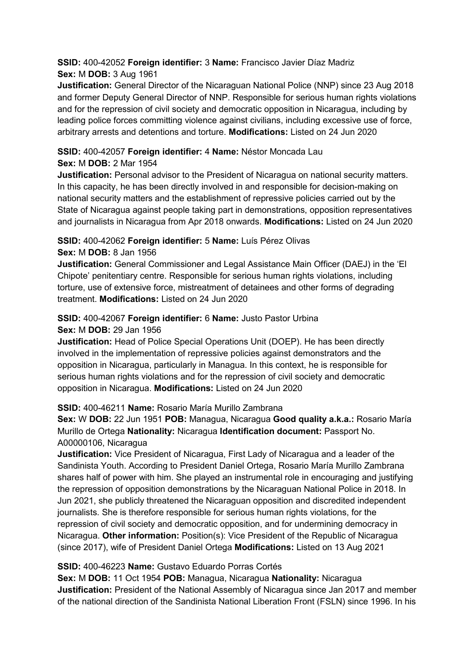# **SSID:** 400-42052 **Foreign identifier:** 3 **Name:** Francisco Javier Díaz Madriz **Sex:** M **DOB:** 3 Aug 1961

**Justification:** General Director of the Nicaraguan National Police (NNP) since 23 Aug 2018 and former Deputy General Director of NNP. Responsible for serious human rights violations and for the repression of civil society and democratic opposition in Nicaragua, including by leading police forces committing violence against civilians, including excessive use of force, arbitrary arrests and detentions and torture. **Modifications:** Listed on 24 Jun 2020

# **SSID:** 400-42057 **Foreign identifier:** 4 **Name:** Néstor Moncada Lau

# **Sex:** M **DOB:** 2 Mar 1954

**Justification:** Personal advisor to the President of Nicaragua on national security matters. In this capacity, he has been directly involved in and responsible for decision-making on national security matters and the establishment of repressive policies carried out by the State of Nicaragua against people taking part in demonstrations, opposition representatives and journalists in Nicaragua from Apr 2018 onwards. **Modifications:** Listed on 24 Jun 2020

# **SSID:** 400-42062 **Foreign identifier:** 5 **Name:** Luís Pérez Olivas

# **Sex:** M **DOB:** 8 Jan 1956

**Justification:** General Commissioner and Legal Assistance Main Officer (DAEJ) in the 'El Chipote' penitentiary centre. Responsible for serious human rights violations, including torture, use of extensive force, mistreatment of detainees and other forms of degrading treatment. **Modifications:** Listed on 24 Jun 2020

# **SSID:** 400-42067 **Foreign identifier:** 6 **Name:** Justo Pastor Urbina **Sex:** M **DOB:** 29 Jan 1956

**Justification:** Head of Police Special Operations Unit (DOEP). He has been directly involved in the implementation of repressive policies against demonstrators and the opposition in Nicaragua, particularly in Managua. In this context, he is responsible for serious human rights violations and for the repression of civil society and democratic opposition in Nicaragua. **Modifications:** Listed on 24 Jun 2020

# **SSID:** 400-46211 **Name:** Rosario María Murillo Zambrana

**Sex:** W **DOB:** 22 Jun 1951 **POB:** Managua, Nicaragua **Good quality a.k.a.:** Rosario María Murillo de Ortega **Nationality:** Nicaragua **Identification document:** Passport No. A00000106, Nicaragua

**Justification:** Vice President of Nicaragua, First Lady of Nicaragua and a leader of the Sandinista Youth. According to President Daniel Ortega, Rosario María Murillo Zambrana shares half of power with him. She played an instrumental role in encouraging and justifying the repression of opposition demonstrations by the Nicaraguan National Police in 2018. In Jun 2021, she publicly threatened the Nicaraguan opposition and discredited independent journalists. She is therefore responsible for serious human rights violations, for the repression of civil society and democratic opposition, and for undermining democracy in Nicaragua. **Other information:** Position(s): Vice President of the Republic of Nicaragua (since 2017), wife of President Daniel Ortega **Modifications:** Listed on 13 Aug 2021

# **SSID:** 400-46223 **Name:** Gustavo Eduardo Porras Cortés

**Sex:** M **DOB:** 11 Oct 1954 **POB:** Managua, Nicaragua **Nationality:** Nicaragua **Justification:** President of the National Assembly of Nicaragua since Jan 2017 and member of the national direction of the Sandinista National Liberation Front (FSLN) since 1996. In his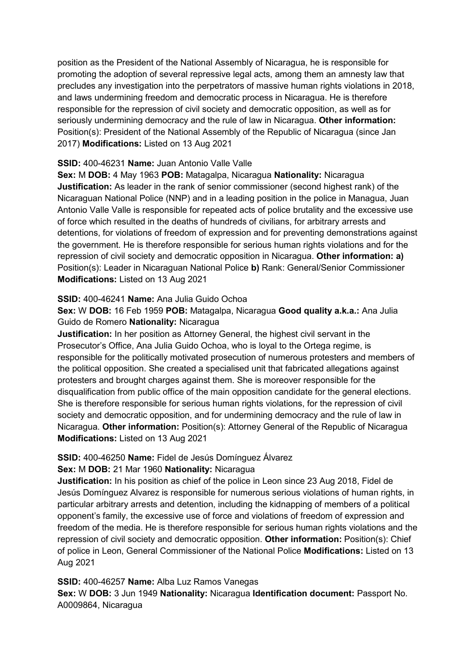position as the President of the National Assembly of Nicaragua, he is responsible for promoting the adoption of several repressive legal acts, among them an amnesty law that precludes any investigation into the perpetrators of massive human rights violations in 2018, and laws undermining freedom and democratic process in Nicaragua. He is therefore responsible for the repression of civil society and democratic opposition, as well as for seriously undermining democracy and the rule of law in Nicaragua. **Other information:** Position(s): President of the National Assembly of the Republic of Nicaragua (since Jan 2017) **Modifications:** Listed on 13 Aug 2021

# **SSID:** 400-46231 **Name:** Juan Antonio Valle Valle

**Sex:** M **DOB:** 4 May 1963 **POB:** Matagalpa, Nicaragua **Nationality:** Nicaragua **Justification:** As leader in the rank of senior commissioner (second highest rank) of the Nicaraguan National Police (NNP) and in a leading position in the police in Managua, Juan Antonio Valle Valle is responsible for repeated acts of police brutality and the excessive use of force which resulted in the deaths of hundreds of civilians, for arbitrary arrests and detentions, for violations of freedom of expression and for preventing demonstrations against the government. He is therefore responsible for serious human rights violations and for the repression of civil society and democratic opposition in Nicaragua. **Other information: a)**  Position(s): Leader in Nicaraguan National Police **b)** Rank: General/Senior Commissioner **Modifications:** Listed on 13 Aug 2021

# **SSID:** 400-46241 **Name:** Ana Julia Guido Ochoa

**Sex:** W **DOB:** 16 Feb 1959 **POB:** Matagalpa, Nicaragua **Good quality a.k.a.:** Ana Julia Guido de Romero **Nationality:** Nicaragua

**Justification:** In her position as Attorney General, the highest civil servant in the Prosecutor's Office, Ana Julia Guido Ochoa, who is loyal to the Ortega regime, is responsible for the politically motivated prosecution of numerous protesters and members of the political opposition. She created a specialised unit that fabricated allegations against protesters and brought charges against them. She is moreover responsible for the disqualification from public office of the main opposition candidate for the general elections. She is therefore responsible for serious human rights violations, for the repression of civil society and democratic opposition, and for undermining democracy and the rule of law in Nicaragua. **Other information:** Position(s): Attorney General of the Republic of Nicaragua **Modifications:** Listed on 13 Aug 2021

# **SSID:** 400-46250 **Name:** Fidel de Jesús Domínguez Álvarez

# **Sex:** M **DOB:** 21 Mar 1960 **Nationality:** Nicaragua

**Justification:** In his position as chief of the police in Leon since 23 Aug 2018, Fidel de Jesús Domínguez Alvarez is responsible for numerous serious violations of human rights, in particular arbitrary arrests and detention, including the kidnapping of members of a political opponent's family, the excessive use of force and violations of freedom of expression and freedom of the media. He is therefore responsible for serious human rights violations and the repression of civil society and democratic opposition. **Other information:** Position(s): Chief of police in Leon, General Commissioner of the National Police **Modifications:** Listed on 13 Aug 2021

# **SSID:** 400-46257 **Name:** Alba Luz Ramos Vanegas

**Sex:** W **DOB:** 3 Jun 1949 **Nationality:** Nicaragua **Identification document:** Passport No. A0009864, Nicaragua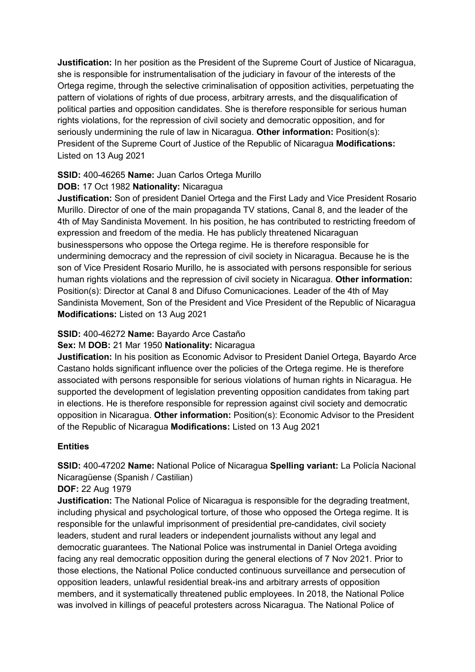**Justification:** In her position as the President of the Supreme Court of Justice of Nicaragua, she is responsible for instrumentalisation of the judiciary in favour of the interests of the Ortega regime, through the selective criminalisation of opposition activities, perpetuating the pattern of violations of rights of due process, arbitrary arrests, and the disqualification of political parties and opposition candidates. She is therefore responsible for serious human rights violations, for the repression of civil society and democratic opposition, and for seriously undermining the rule of law in Nicaragua. **Other information:** Position(s): President of the Supreme Court of Justice of the Republic of Nicaragua **Modifications:**  Listed on 13 Aug 2021

# **SSID:** 400-46265 **Name:** Juan Carlos Ortega Murillo

# **DOB:** 17 Oct 1982 **Nationality:** Nicaragua

**Justification:** Son of president Daniel Ortega and the First Lady and Vice President Rosario Murillo. Director of one of the main propaganda TV stations, Canal 8, and the leader of the 4th of May Sandinista Movement. In his position, he has contributed to restricting freedom of expression and freedom of the media. He has publicly threatened Nicaraguan businesspersons who oppose the Ortega regime. He is therefore responsible for undermining democracy and the repression of civil society in Nicaragua. Because he is the son of Vice President Rosario Murillo, he is associated with persons responsible for serious human rights violations and the repression of civil society in Nicaragua. **Other information:** Position(s): Director at Canal 8 and Difuso Comunicaciones. Leader of the 4th of May Sandinista Movement, Son of the President and Vice President of the Republic of Nicaragua **Modifications:** Listed on 13 Aug 2021

# **SSID:** 400-46272 **Name:** Bayardo Arce Castaño

# **Sex:** M **DOB:** 21 Mar 1950 **Nationality:** Nicaragua

**Justification:** In his position as Economic Advisor to President Daniel Ortega, Bayardo Arce Castano holds significant influence over the policies of the Ortega regime. He is therefore associated with persons responsible for serious violations of human rights in Nicaragua. He supported the development of legislation preventing opposition candidates from taking part in elections. He is therefore responsible for repression against civil society and democratic opposition in Nicaragua. **Other information:** Position(s): Economic Advisor to the President of the Republic of Nicaragua **Modifications:** Listed on 13 Aug 2021

# **Entities**

**SSID:** 400-47202 **Name:** National Police of Nicaragua **Spelling variant:** La Policía Nacional Nicaragüense (Spanish / Castilian)

# **DOF:** 22 Aug 1979

**Justification:** The National Police of Nicaragua is responsible for the degrading treatment, including physical and psychological torture, of those who opposed the Ortega regime. It is responsible for the unlawful imprisonment of presidential pre-candidates, civil society leaders, student and rural leaders or independent journalists without any legal and democratic guarantees. The National Police was instrumental in Daniel Ortega avoiding facing any real democratic opposition during the general elections of 7 Nov 2021. Prior to those elections, the National Police conducted continuous surveillance and persecution of opposition leaders, unlawful residential break-ins and arbitrary arrests of opposition members, and it systematically threatened public employees. In 2018, the National Police was involved in killings of peaceful protesters across Nicaragua. The National Police of